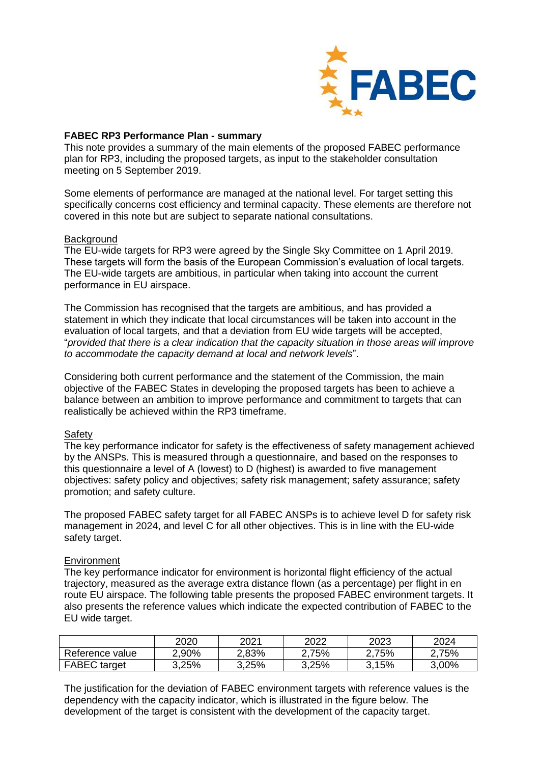

## **FABEC RP3 Performance Plan - summary**

This note provides a summary of the main elements of the proposed FABEC performance plan for RP3, including the proposed targets, as input to the stakeholder consultation meeting on 5 September 2019.

Some elements of performance are managed at the national level. For target setting this specifically concerns cost efficiency and terminal capacity. These elements are therefore not covered in this note but are subject to separate national consultations.

### **Background**

The EU-wide targets for RP3 were agreed by the Single Sky Committee on 1 April 2019. These targets will form the basis of the European Commission's evaluation of local targets. The EU-wide targets are ambitious, in particular when taking into account the current performance in EU airspace.

The Commission has recognised that the targets are ambitious, and has provided a statement in which they indicate that local circumstances will be taken into account in the evaluation of local targets, and that a deviation from EU wide targets will be accepted, "*provided that there is a clear indication that the capacity situation in those areas will improve to accommodate the capacity demand at local and network levels*".

Considering both current performance and the statement of the Commission, the main objective of the FABEC States in developing the proposed targets has been to achieve a balance between an ambition to improve performance and commitment to targets that can realistically be achieved within the RP3 timeframe.

# **Safety**

The key performance indicator for safety is the effectiveness of safety management achieved by the ANSPs. This is measured through a questionnaire, and based on the responses to this questionnaire a level of A (lowest) to D (highest) is awarded to five management objectives: safety policy and objectives; safety risk management; safety assurance; safety promotion; and safety culture.

The proposed FABEC safety target for all FABEC ANSPs is to achieve level D for safety risk management in 2024, and level C for all other objectives. This is in line with the EU-wide safety target.

#### **Environment**

The key performance indicator for environment is horizontal flight efficiency of the actual trajectory, measured as the average extra distance flown (as a percentage) per flight in en route EU airspace. The following table presents the proposed FABEC environment targets. It also presents the reference values which indicate the expected contribution of FABEC to the EU wide target.

|                     | 2020  | 2021  | 2022     | 2023  | 2024  |
|---------------------|-------|-------|----------|-------|-------|
| Reference value     | 2.90% | 2,83% | $2.75\%$ | 2.75% | 2,75% |
| <b>FABEC</b> target | 3,25% | 3.25% | 3.25%    | 3,15% | 3,00% |

The justification for the deviation of FABEC environment targets with reference values is the dependency with the capacity indicator, which is illustrated in the figure below. The development of the target is consistent with the development of the capacity target.